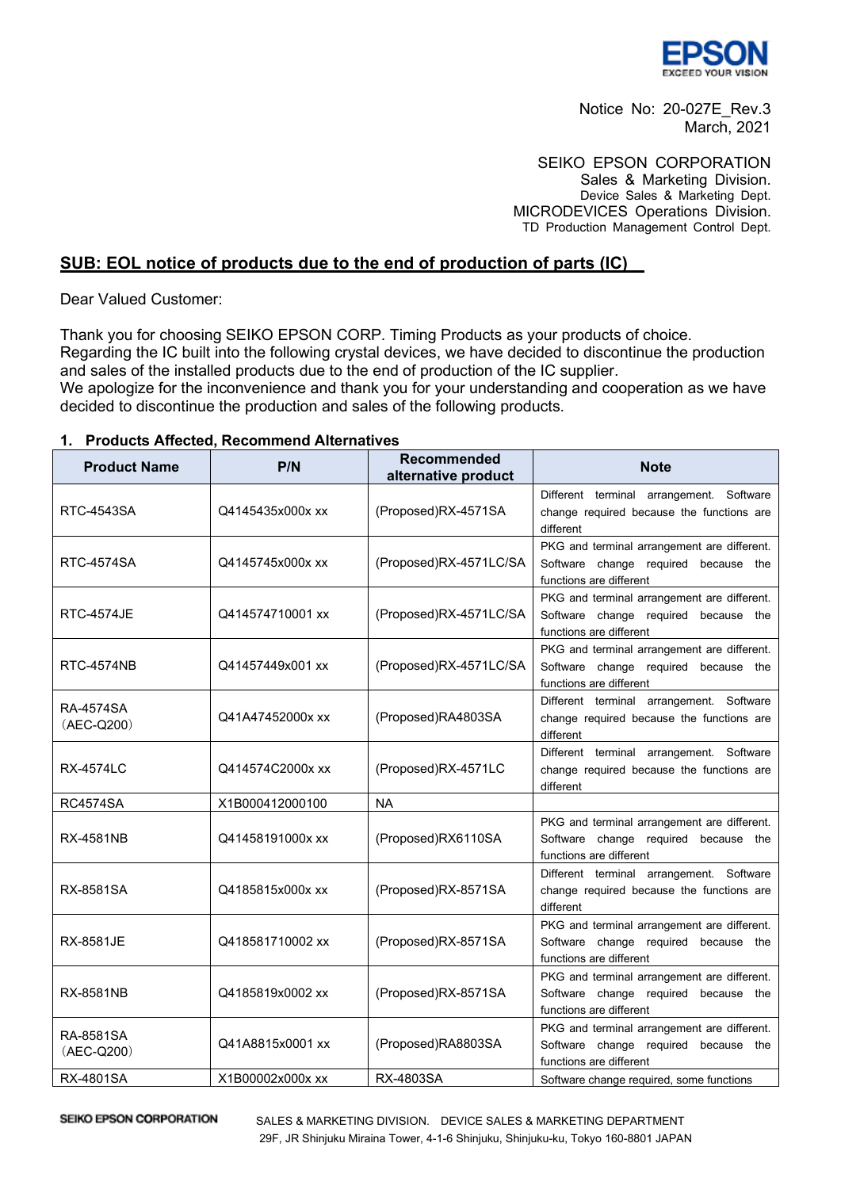

Notice No: 20-027E\_Rev.3 March, 2021

SEIKO EPSON CORPORATION Sales & Marketing Division. Device Sales & Marketing Dept. MICRODEVICES Operations Division. TD Production Management Control Dept.

## **SUB: EOL notice of products due to the end of production of parts (IC)**

Dear Valued Customer:

Thank you for choosing SEIKO EPSON CORP. Timing Products as your products of choice. Regarding the IC built into the following crystal devices, we have decided to discontinue the production and sales of the installed products due to the end of production of the IC supplier. We apologize for the inconvenience and thank you for your understanding and cooperation as we have decided to discontinue the production and sales of the following products.

## **1. Products Affected, Recommend Alternatives**

| <b>Product Name</b>     | P/N              | Recommended<br>alternative product | <b>Note</b>                                                                                                    |
|-------------------------|------------------|------------------------------------|----------------------------------------------------------------------------------------------------------------|
| <b>RTC-4543SA</b>       | Q4145435x000x xx | (Proposed)RX-4571SA                | Different terminal arrangement. Software<br>change required because the functions are<br>different             |
| <b>RTC-4574SA</b>       | Q4145745x000x xx | (Proposed)RX-4571LC/SA             | PKG and terminal arrangement are different.<br>Software change required because the<br>functions are different |
| <b>RTC-4574JE</b>       | Q414574710001 xx | (Proposed)RX-4571LC/SA             | PKG and terminal arrangement are different.<br>Software change required because the<br>functions are different |
| <b>RTC-4574NB</b>       | Q41457449x001 xx | (Proposed)RX-4571LC/SA             | PKG and terminal arrangement are different.<br>Software change required because the<br>functions are different |
| RA-4574SA<br>(AEC-Q200) | Q41A47452000x xx | (Proposed)RA4803SA                 | Different terminal arrangement. Software<br>change required because the functions are<br>different             |
| <b>RX-4574LC</b>        | Q414574C2000x xx | (Proposed)RX-4571LC                | Different terminal arrangement. Software<br>change required because the functions are<br>different             |
| <b>RC4574SA</b>         | X1B000412000100  | <b>NA</b>                          |                                                                                                                |
| RX-4581NB               | Q41458191000x xx | (Proposed)RX6110SA                 | PKG and terminal arrangement are different.<br>Software change required because the<br>functions are different |
| RX-8581SA               | Q4185815x000x xx | (Proposed)RX-8571SA                | Different terminal arrangement. Software<br>change required because the functions are<br>different             |
| <b>RX-8581JE</b>        | Q418581710002 xx | (Proposed)RX-8571SA                | PKG and terminal arrangement are different.<br>Software change required because the<br>functions are different |
| <b>RX-8581NB</b>        | Q4185819x0002 xx | (Proposed)RX-8571SA                | PKG and terminal arrangement are different.<br>Software change required because the<br>functions are different |
| RA-8581SA<br>(AEC-Q200) | Q41A8815x0001 xx | (Proposed)RA8803SA                 | PKG and terminal arrangement are different.<br>Software change required because the<br>functions are different |
| <b>RX-4801SA</b>        | X1B00002x000x xx | RX-4803SA                          | Software change required, some functions                                                                       |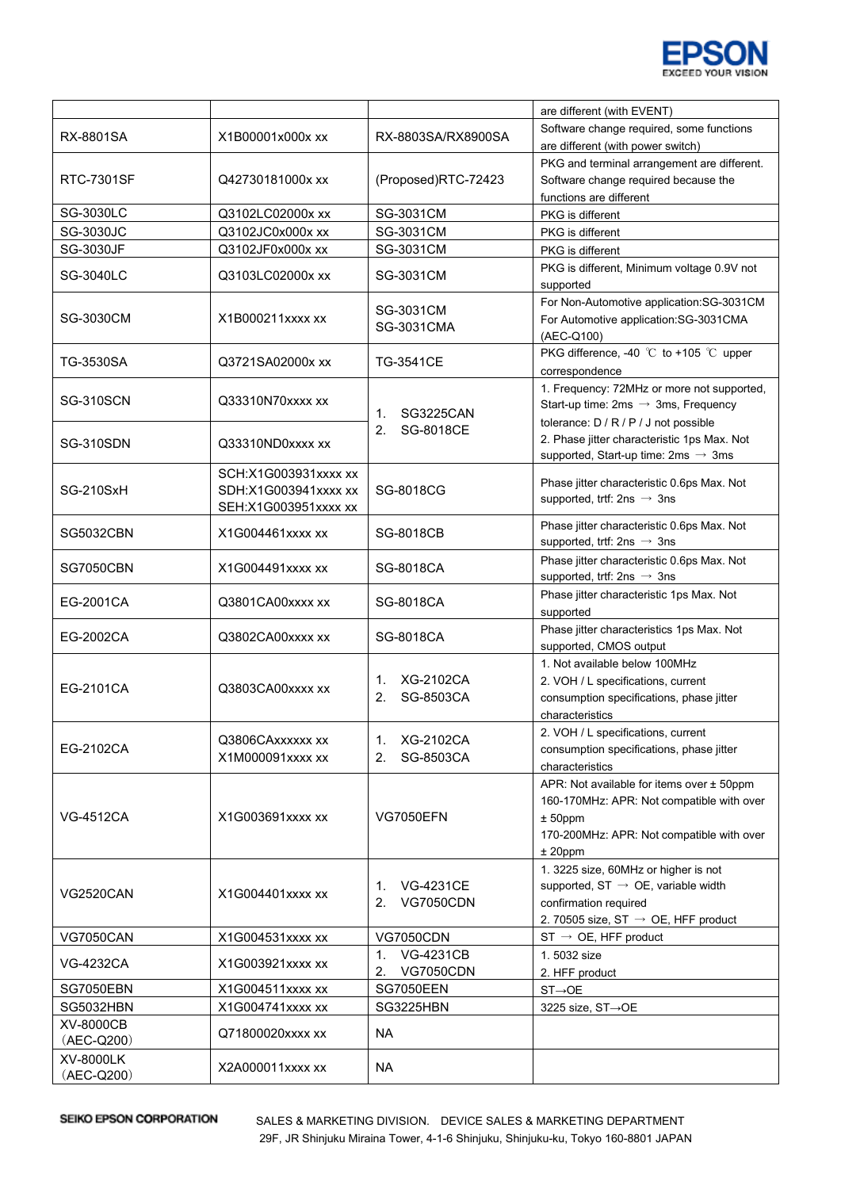

|                  |                      |                                        | are different (with EVENT)                                                             |
|------------------|----------------------|----------------------------------------|----------------------------------------------------------------------------------------|
| RX-8801SA        | X1B00001x000x xx     | RX-8803SA/RX8900SA                     | Software change required, some functions                                               |
|                  |                      |                                        | are different (with power switch)                                                      |
|                  |                      |                                        | PKG and terminal arrangement are different.                                            |
| RTC-7301SF       | Q42730181000x xx     | (Proposed)RTC-72423                    | Software change required because the                                                   |
|                  |                      |                                        | functions are different                                                                |
| <b>SG-3030LC</b> | Q3102LC02000x xx     | SG-3031CM                              | PKG is different                                                                       |
| <b>SG-3030JC</b> | Q3102JC0x000x xx     | <b>SG-3031CM</b>                       | PKG is different                                                                       |
| <b>SG-3030JF</b> | Q3102JF0x000x xx     | SG-3031CM                              | PKG is different                                                                       |
| <b>SG-3040LC</b> | Q3103LC02000x xx     | SG-3031CM                              | PKG is different, Minimum voltage 0.9V not                                             |
|                  | X1B000211xxxx xx     |                                        | supported                                                                              |
| <b>SG-3030CM</b> |                      | SG-3031CM                              | For Non-Automotive application:SG-3031CM<br>For Automotive application:SG-3031CMA      |
|                  |                      | SG-3031CMA                             | (AEC-Q100)                                                                             |
|                  |                      |                                        | PKG difference, -40 ℃ to +105 ℃ upper                                                  |
| TG-3530SA        | Q3721SA02000x xx     | <b>TG-3541CE</b>                       | correspondence                                                                         |
|                  |                      |                                        | 1. Frequency: 72MHz or more not supported,                                             |
| <b>SG-310SCN</b> | Q33310N70xxxx xx     |                                        | Start-up time: $2ms \rightarrow 3ms$ , Frequency                                       |
|                  |                      | SG3225CAN<br>1.                        | tolerance: D / R / P / J not possible                                                  |
| <b>SG-310SDN</b> | Q33310ND0xxxx xx     | 2.<br>SG-8018CE                        | 2. Phase jitter characteristic 1ps Max. Not                                            |
|                  |                      |                                        | supported, Start-up time: $2ms \rightarrow 3ms$                                        |
|                  | SCH:X1G003931xxxx xx |                                        |                                                                                        |
| SG-210SxH        | SDH:X1G003941xxxx xx | SG-8018CG                              | Phase jitter characteristic 0.6ps Max. Not                                             |
|                  | SEH:X1G003951xxxx xx |                                        | supported, trtf: 2ns $\rightarrow$ 3ns                                                 |
| <b>SG5032CBN</b> | X1G004461xxxx xx     | <b>SG-8018CB</b>                       | Phase jitter characteristic 0.6ps Max. Not                                             |
|                  |                      |                                        | supported, trtf: 2ns $\rightarrow$ 3ns                                                 |
| <b>SG7050CBN</b> | X1G004491xxxx xx     | SG-8018CA                              | Phase jitter characteristic 0.6ps Max. Not                                             |
|                  |                      |                                        | supported, trtf: 2ns $\rightarrow$ 3ns                                                 |
| EG-2001CA        | Q3801CA00xxxx xx     | SG-8018CA                              | Phase jitter characteristic 1ps Max. Not                                               |
|                  |                      |                                        | supported                                                                              |
| EG-2002CA        | Q3802CA00xxxx xx     | SG-8018CA                              | Phase jitter characteristics 1ps Max. Not                                              |
|                  |                      |                                        | supported, CMOS output                                                                 |
|                  | Q3803CA00xxxx xx     | XG-2102CA<br>1.<br>2.<br>SG-8503CA     | 1. Not available below 100MHz                                                          |
| EG-2101CA        |                      |                                        | 2. VOH / L specifications, current                                                     |
|                  |                      |                                        | consumption specifications, phase jitter                                               |
|                  |                      |                                        | characteristics                                                                        |
|                  | Q3806CAxxxxxx xx     | 1.<br>XG-2102CA                        | 2. VOH / L specifications, current                                                     |
| EG-2102CA        | X1M000091xxxx xx     | SG-8503CA<br>2.                        | consumption specifications, phase jitter                                               |
|                  | X1G003691xxxx xx     | <b>VG7050EFN</b>                       | characteristics                                                                        |
|                  |                      |                                        | APR: Not available for items over ± 50ppm<br>160-170MHz: APR: Not compatible with over |
| VG-4512CA        |                      |                                        | $± 50$ ppm                                                                             |
|                  |                      |                                        | 170-200MHz: APR: Not compatible with over                                              |
|                  |                      |                                        | $± 20$ ppm                                                                             |
|                  |                      |                                        | 1. 3225 size, 60MHz or higher is not                                                   |
| <b>VG2520CAN</b> | X1G004401xxxx xx     | 1. VG-4231CE<br><b>VG7050CDN</b><br>2. | supported, $ST \rightarrow OE$ , variable width                                        |
|                  |                      |                                        | confirmation required                                                                  |
|                  |                      |                                        | 2. 70505 size, ST $\rightarrow$ OE, HFF product                                        |
| <b>VG7050CAN</b> | X1G004531xxxx xx     | <b>VG7050CDN</b>                       | $ST \rightarrow$ OE, HFF product                                                       |
|                  |                      | <b>VG-4231CB</b><br>1.                 | 1.5032 size                                                                            |
| <b>VG-4232CA</b> | X1G003921xxxx xx     | <b>VG7050CDN</b><br>2.                 | 2. HFF product                                                                         |
| <b>SG7050EBN</b> | X1G004511xxxx xx     | <b>SG7050EEN</b>                       | $ST \rightarrow OE$                                                                    |
| SG5032HBN        | X1G004741xxxx xx     | SG3225HBN                              | 3225 size, ST→OE                                                                       |
| XV-8000CB        | Q71800020xxxx xx     | NA.                                    |                                                                                        |
| (AEC-Q200)       |                      |                                        |                                                                                        |
| XV-8000LK        | X2A000011xxxx xx     | <b>NA</b>                              |                                                                                        |
| (AEC-Q200)       |                      |                                        |                                                                                        |